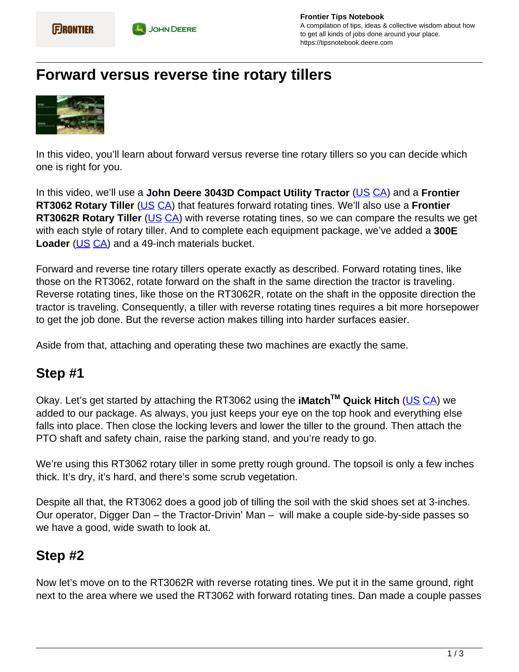

## **Forward versus reverse tine rotary tillers**



In this video, you'll learn about forward versus reverse tine rotary tillers so you can decide which one is right for you.

In this video, we'll use a **John Deere 3043D Compact Utility Tractor** ([US](https://www.deere.com/en/tractors/compact-tractors/4-series-compact-tractors/) CA) and a **Frontier RT3062 Rotary Tiller** (US CA) that features forward rotating tines. We'll also use a **Frontier RT3062R Rotary Tiller** (US CA) with reverse rotating tines, so we can compare the results we get with each style of rotary tiller. And to complete each equipment package, we've added a **300E Loader** (US CA) and a 49-inch materials bucket.

Forward and reverse tine rotary tillers operate exactly as described. Forward rotating tines, like those on the RT3062, rotate forward on the shaft in the same direction the tractor is traveling. Reverse rotating tines, like those on the RT3062R, rotate on the shaft in the opposite direction the tractor is traveling. Consequently, a tiller with reverse rotating tines requires a bit more horsepower to get the job done. But the reverse action makes tilling into harder surfaces easier.

Aside from that, attaching and operating these two machines are exactly the same.

## **Step #1**

Okay. Let's get started by attaching the RT3062 using the **iMatchTM Quick Hitch** (US CA) we added to our package. As always, you just keeps your eye on the top hook and everything else falls into place. Then close the locking levers and lower the tiller to the ground. Then attach the PTO shaft and safety chain, raise the parking stand, and you're ready to go.

We're using this RT3062 rotary tiller in some pretty rough ground. The topsoil is only a few inches thick. It's dry, it's hard, and there's some scrub vegetation.

Despite all that, the RT3062 does a good job of tilling the soil with the skid shoes set at 3-inches. Our operator, Digger Dan – the Tractor-Drivin' Man – will make a couple side-by-side passes so we have a good, wide swath to look at.

## **Step #2**

Now let's move on to the RT3062R with reverse rotating tines. We put it in the same ground, right next to the area where we used the RT3062 with forward rotating tines. Dan made a couple passes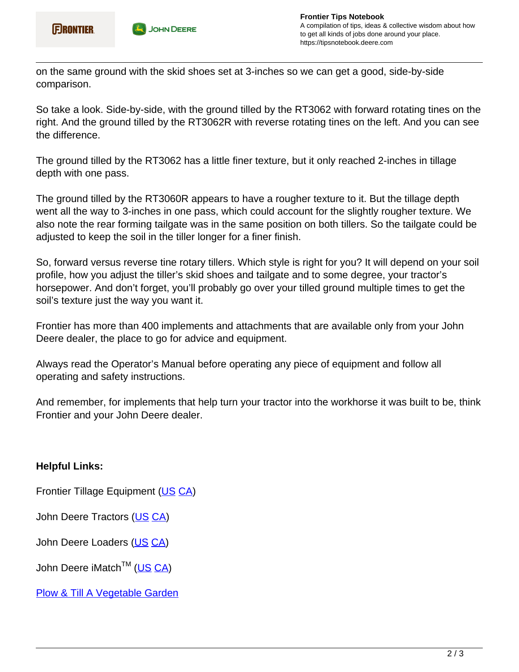

on the same ground with the skid shoes set at 3-inches so we can get a good, side-by-side comparison.

So take a look. Side-by-side, with the ground tilled by the RT3062 with forward rotating tines on the right. And the ground tilled by the RT3062R with reverse rotating tines on the left. And you can see the difference.

The ground tilled by the RT3062 has a little finer texture, but it only reached 2-inches in tillage depth with one pass.

The ground tilled by the RT3060R appears to have a rougher texture to it. But the tillage depth went all the way to 3-inches in one pass, which could account for the slightly rougher texture. We also note the rear forming tailgate was in the same position on both tillers. So the tailgate could be adjusted to keep the soil in the tiller longer for a finer finish.

So, forward versus reverse tine rotary tillers. Which style is right for you? It will depend on your soil profile, how you adjust the tiller's skid shoes and tailgate and to some degree, your tractor's horsepower. And don't forget, you'll probably go over your tilled ground multiple times to get the soil's texture just the way you want it.

Frontier has more than 400 implements and attachments that are available only from your John Deere dealer, the place to go for advice and equipment.

Always read the Operator's Manual before operating any piece of equipment and follow all operating and safety instructions.

And remember, for implements that help turn your tractor into the workhorse it was built to be, think Frontier and your John Deere dealer.

## **Helpful Links:**

Frontier Tillage Equipment (US CA)

John Deere Tractors (US CA)

John Deere Loaders (US CA)

John Deere iMatch<sup>™</sup> (US CA)

**Plow & Till A Vegetable Garden**